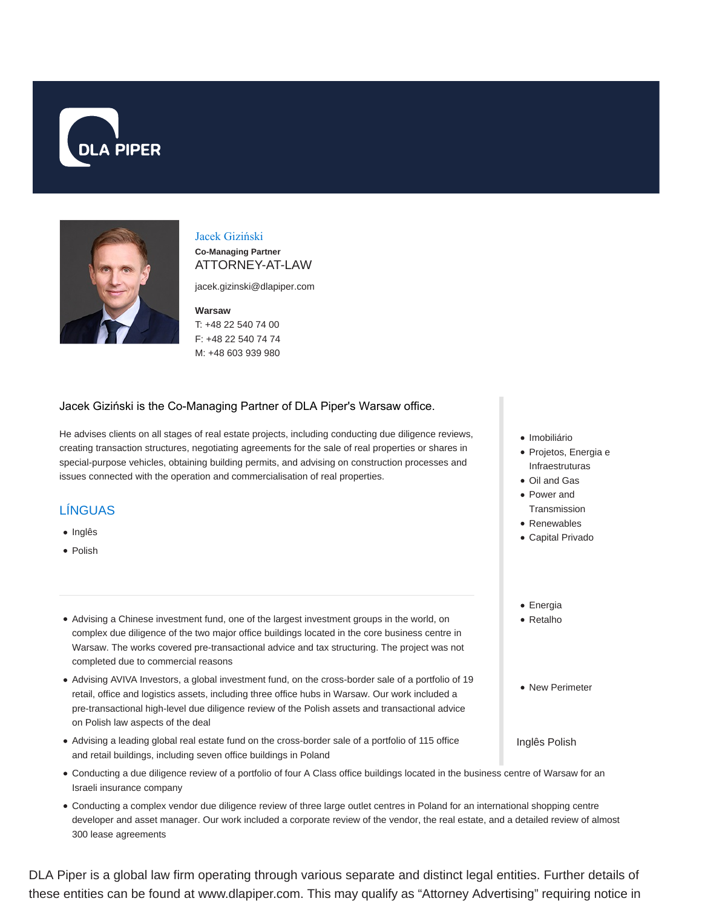



## Jacek Giziński

**Co-Managing Partner** ATTORNEY-AT-LAW

jacek.gizinski@dlapiper.com

#### **Warsaw**

T: +48 22 540 74 00 F: +48 22 540 74 74 M: +48 603 939 980

#### Jacek Giziński is the Co-Managing Partner of DLA Piper's Warsaw office.

He advises clients on all stages of real estate projects, including conducting due diligence reviews, creating transaction structures, negotiating agreements for the sale of real properties or shares in special-purpose vehicles, obtaining building permits, and advising on construction processes and issues connected with the operation and commercialisation of real properties.

## LÍNGUAS

- Inglês
- Polish
- Advising a Chinese investment fund, one of the largest investment groups in the world, on complex due diligence of the two major office buildings located in the core business centre in Warsaw. The works covered pre-transactional advice and tax structuring. The project was not completed due to commercial reasons
- Advising AVIVA Investors, a global investment fund, on the cross-border sale of a portfolio of 19 retail, office and logistics assets, including three office hubs in Warsaw. Our work included a pre-transactional high-level due diligence review of the Polish assets and transactional advice on Polish law aspects of the deal
- Advising a leading global real estate fund on the cross-border sale of a portfolio of 115 office and retail buildings, including seven office buildings in Poland
- Conducting a due diligence review of a portfolio of four A Class office buildings located in the business centre of Warsaw for an Israeli insurance company
- Conducting a complex vendor due diligence review of three large outlet centres in Poland for an international shopping centre developer and asset manager. Our work included a corporate review of the vendor, the real estate, and a detailed review of almost 300 lease agreements

DLA Piper is a global law firm operating through various separate and distinct legal entities. Further details of these entities can be found at www.dlapiper.com. This may qualify as "Attorney Advertising" requiring notice in

- · Imobiliário
- Projetos, Energia e Infraestruturas
- Oil and Gas
- Power and
- **Transmission** Renewables
- Capital Privado
- Energia
- Retalho
- New Perimeter
- Inglês Polish